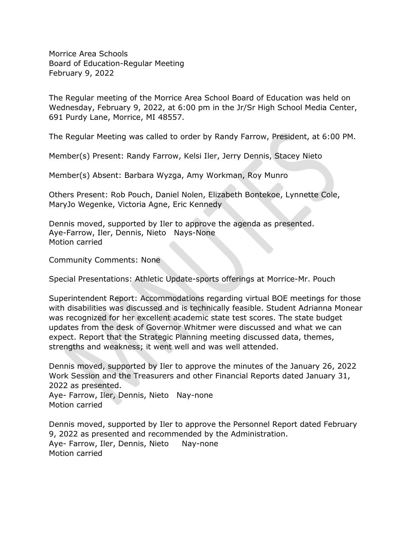Morrice Area Schools Board of Education-Regular Meeting February 9, 2022

The Regular meeting of the Morrice Area School Board of Education was held on Wednesday, February 9, 2022, at 6:00 pm in the Jr/Sr High School Media Center, 691 Purdy Lane, Morrice, MI 48557.

The Regular Meeting was called to order by Randy Farrow, President, at 6:00 PM.

Member(s) Present: Randy Farrow, Kelsi Iler, Jerry Dennis, Stacey Nieto

Member(s) Absent: Barbara Wyzga, Amy Workman, Roy Munro

Others Present: Rob Pouch, Daniel Nolen, Elizabeth Bontekoe, Lynnette Cole, MaryJo Wegenke, Victoria Agne, Eric Kennedy

Dennis moved, supported by Iler to approve the agenda as presented. Aye-Farrow, Iler, Dennis, Nieto Nays-None Motion carried

Community Comments: None

Special Presentations: Athletic Update-sports offerings at Morrice-Mr. Pouch

Superintendent Report: Accommodations regarding virtual BOE meetings for those with disabilities was discussed and is technically feasible. Student Adrianna Monear was recognized for her excellent academic state test scores. The state budget updates from the desk of Governor Whitmer were discussed and what we can expect. Report that the Strategic Planning meeting discussed data, themes, strengths and weakness; it went well and was well attended.

Dennis moved, supported by Iler to approve the minutes of the January 26, 2022 Work Session and the Treasurers and other Financial Reports dated January 31, 2022 as presented.

Aye- Farrow, Iler, Dennis, Nieto Nay-none Motion carried

Dennis moved, supported by Iler to approve the Personnel Report dated February 9, 2022 as presented and recommended by the Administration. Aye- Farrow, Iler, Dennis, Nieto Nay-none Motion carried